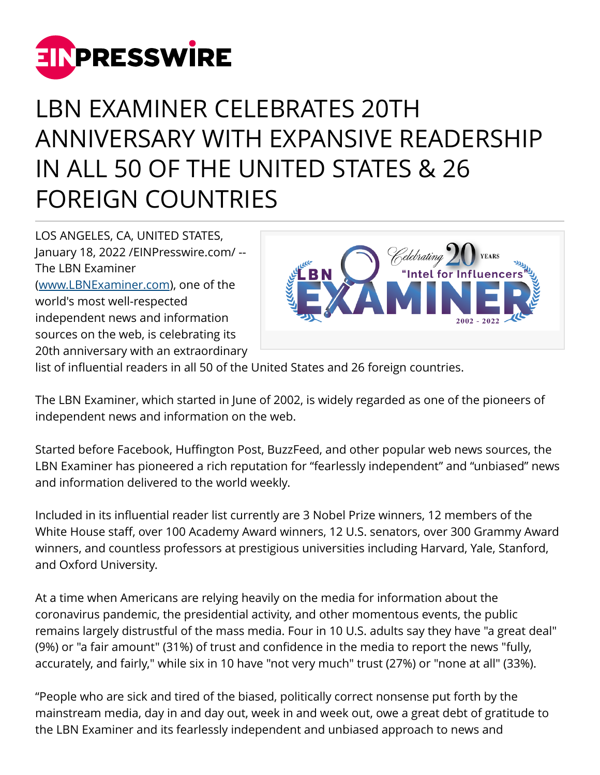

## LBN EXAMINER CELEBRATES 20TH ANNIVERSARY WITH EXPANSIVE READERSHIP IN ALL 50 OF THE UNITED STATES & 26 FOREIGN COUNTRIES

LOS ANGELES, CA, UNITED STATES, January 18, 2022 /[EINPresswire.com](http://www.einpresswire.com)/ -- The LBN Examiner ([www.LBNExaminer.com](http://www.LBNExaminer.com)), one of the world's most well-respected independent news and information sources on the web, is celebrating its 20th anniversary with an extraordinary



list of influential readers in all 50 of the United States and 26 foreign countries.

The LBN Examiner, which started in June of 2002, is widely regarded as one of the pioneers of independent news and information on the web.

Started before Facebook, Huffington Post, BuzzFeed, and other popular web news sources, the LBN Examiner has pioneered a rich reputation for "fearlessly independent" and "unbiased" news and information delivered to the world weekly.

Included in its influential reader list currently are 3 Nobel Prize winners, 12 members of the White House staff, over 100 Academy Award winners, 12 U.S. senators, over 300 Grammy Award winners, and countless professors at prestigious universities including Harvard, Yale, Stanford, and Oxford University.

At a time when Americans are relying heavily on the media for information about the coronavirus pandemic, the presidential activity, and other momentous events, the public remains largely distrustful of the mass media. Four in 10 U.S. adults say they have "a great deal" (9%) or "a fair amount" (31%) of trust and confidence in the media to report the news "fully, accurately, and fairly," while six in 10 have "not very much" trust (27%) or "none at all" (33%).

"People who are sick and tired of the biased, politically correct nonsense put forth by the mainstream media, day in and day out, week in and week out, owe a great debt of gratitude to the LBN Examiner and its fearlessly independent and unbiased approach to news and